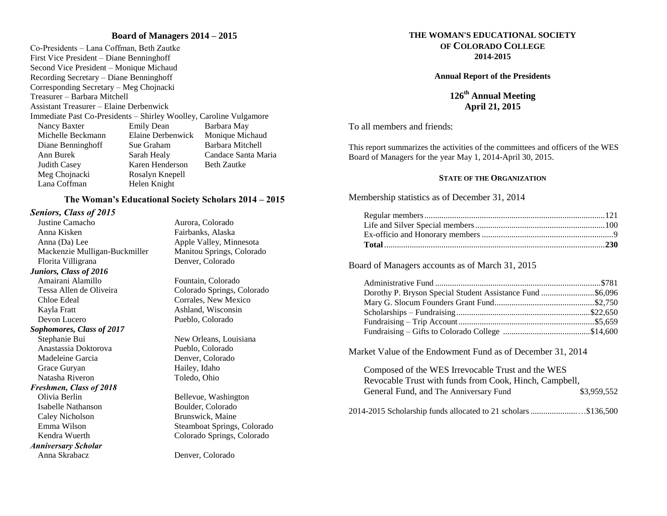#### **Board of Managers 2014 – 2015**

Co-Presidents – Lana Coffman, Beth Zautke First Vice President – Diane Benninghoff Second Vice President – Monique Michaud Recording Secretary – Diane Benninghoff Corresponding Secretary – Meg Chojnacki Treasurer – Barbara Mitchell Assistant Treasurer – Elaine Derbenwick Immediate Past Co-Presidents – Shirley Woolley, Caroline Vulgamore Nancy Baxter Emily Dean Barbara May Michelle Beckmann Elaine Derbenwick Monique Michaud Diane Benninghoff Sue Graham Barbara Mitchell Ann Burek Sarah Healy Candace Santa Maria Judith Casey Karen Henderson Beth Zautke Meg Chojnacki Rosalyn Knepell Lana Coffman Helen Knight

#### **The Woman's Educational Society Scholars 2014 – 2015**

## *Seniors, Class of 2015*

Justine Camacho Aurora, Colorado Anna Kisken Fairbanks, Alaska Anna (Da) Lee Apple Valley, Minnesota Mackenzie Mulligan-Buckmiller Manitou Springs, Colorado Florita Villigrana Denver, Colorado *Juniors, Class of 2016* Amairani Alamillo Fountain, Colorado Tessa Allen de Oliveira Colorado Springs, Colorado Chloe Edeal Corrales, New Mexico Kayla Fratt Ashland, Wisconsin Devon Lucero Pueblo, Colorado *Sophomores, Class of 2017* Stephanie Bui New Orleans, Louisiana Anastassia Doktorova Pueblo, Colorado Madeleine Garcia **Denver**, Colorado Grace Guryan Hailey, Idaho Natasha Riveron Toledo, Ohio *Freshmen, Class of 2018* Olivia Berlin Bellevue, Washington Isabelle Nathanson Boulder, Colorado Caley Nicholson Brunswick, Maine Emma Wilson Steamboat Springs, Colorado

*Anniversary Scholar* 

Kendra Wuerth Colorado Springs, Colorado

Anna Skrabacz Denver, Colorado

#### **THE WOMAN'S EDUCATIONAL SOCIETY OF COLORADO COLLEGE 2014-2015**

#### **Annual Report of the Presidents**

**126th Annual Meeting April 21, 2015**

To all members and friends:

This report summarizes the activities of the committees and officers of the WES Board of Managers for the year May 1, 2014-April 30, 2015.

#### **STATE OF THE ORGANIZATION**

Membership statistics as of December 31, 2014

Board of Managers accounts as of March 31, 2015

Market Value of the Endowment Fund as of December 31, 2014

| Composed of the WES Irrevocable Trust and the WES              |             |
|----------------------------------------------------------------|-------------|
| Revocable Trust with funds from Cook, Hinch, Campbell,         |             |
| General Fund, and The Anniversary Fund                         | \$3,959,552 |
| 2014-2015 Scholarship funds allocated to 21 scholars \$136,500 |             |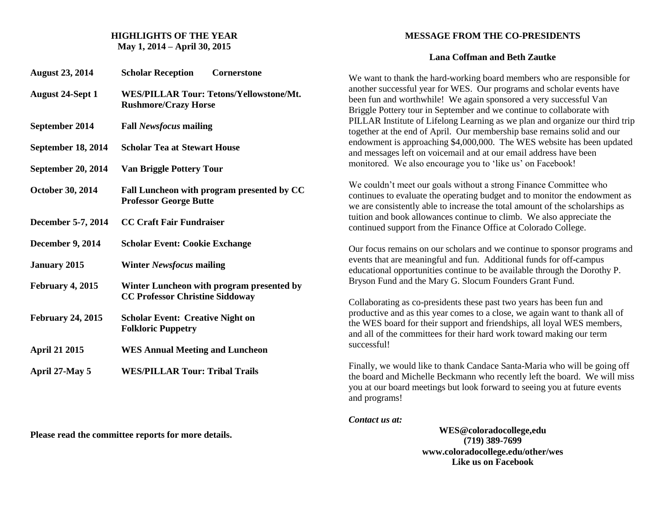### **HIGHLIGHTS OF THE YEAR May 1, 2014 – April 30, 2015**

| <b>August 23, 2014</b>   | <b>Scholar Reception</b><br>Cornerstone                                             |
|--------------------------|-------------------------------------------------------------------------------------|
| <b>August 24-Sept 1</b>  | <b>WES/PILLAR Tour: Tetons/Yellowstone/Mt.</b><br><b>Rushmore/Crazy Horse</b>       |
| September 2014           | <b>Fall Newsfocus mailing</b>                                                       |
| September 18, 2014       | <b>Scholar Tea at Stewart House</b>                                                 |
| September 20, 2014       | <b>Van Briggle Pottery Tour</b>                                                     |
| October 30, 2014         | Fall Luncheon with program presented by CC<br><b>Professor George Butte</b>         |
| December 5-7, 2014       | <b>CC Craft Fair Fundraiser</b>                                                     |
| <b>December 9, 2014</b>  | <b>Scholar Event: Cookie Exchange</b>                                               |
| <b>January 2015</b>      | <b>Winter Newsfocus mailing</b>                                                     |
| February 4, 2015         | Winter Luncheon with program presented by<br><b>CC Professor Christine Siddoway</b> |
| <b>February 24, 2015</b> | <b>Scholar Event: Creative Night on</b><br><b>Folkloric Puppetry</b>                |
| <b>April 21 2015</b>     | <b>WES Annual Meeting and Luncheon</b>                                              |
| April 27-May 5           | <b>WES/PILLAR Tour: Tribal Trails</b>                                               |

**Please read the committee reports for more details.**

# **MESSAGE FROM THE CO-PRESIDENTS**

## **Lana Coffman and Beth Zautke**

We want to thank the hard-working board members who are responsible for another successful year for WES. Our programs and scholar events have been fun and worthwhile! We again sponsored a very successful Van Briggle Pottery tour in September and we continue to collaborate with PILLAR Institute of Lifelong Learning as we plan and organize our third trip together at the end of April. Our membership base remains solid and our endowment is approaching \$4,000,000. The WES website has been updated and messages left on voicemail and at our email address have been monitored. We also encourage you to 'like us' on Facebook!

We couldn't meet our goals without a strong Finance Committee who continues to evaluate the operating budget and to monitor the endowment as we are consistently able to increase the total amount of the scholarships as tuition and book allowances continue to climb. We also appreciate the continued support from the Finance Office at Colorado College.

Our focus remains on our scholars and we continue to sponsor programs and events that are meaningful and fun. Additional funds for off-campus educational opportunities continue to be available through the Dorothy P. Bryson Fund and the Mary G. Slocum Founders Grant Fund.

Collaborating as co-presidents these past two years has been fun and productive and as this year comes to a close, we again want to thank all of the WES board for their support and friendships, all loyal WES members, and all of the committees for their hard work toward making our term successful!

Finally, we would like to thank Candace Santa-Maria who will be going off the board and Michelle Beckmann who recently left the board. We will miss you at our board meetings but look forward to seeing you at future events and programs!

*Contact us at:*

**WES@coloradocollege,edu (719) 389-7699 www.coloradocollege.edu/other/wes Like us on Facebook**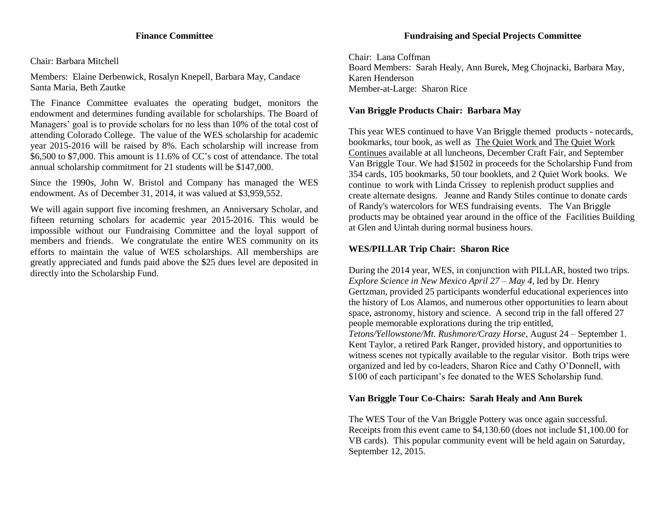Chair: Barbara Mitchell

Members: Elaine Derbenwick, Rosalyn Knepell, Barbara May, Candace Santa Maria, Beth Zautke

The Finance Committee evaluates the operating budget, monitors the endowment and determines funding available for scholarships. The Board of Managers' goal is to provide scholars for no less than 10% of the total cost of attending Colorado College. The value of the WES scholarship for academic year 2015-2016 will be raised by 8%. Each scholarship will increase from \$6,500 to \$7,000. This amount is 11.6% of CC's cost of attendance. The total annual scholarship commitment for 21 students will be \$147,000.

Since the 1990s, John W. Bristol and Company has managed the WES endowment. As of December 31, 2014, it was valued at \$3,959,552.

We will again support five incoming freshmen, an Anniversary Scholar, and fifteen returning scholars for academic year 2015-2016. This would be impossible without our Fundraising Committee and the loyal support of members and friends. We congratulate the entire WES community on its efforts to maintain the value of WES scholarships. All memberships are greatly appreciated and funds paid above the \$25 dues level are deposited in directly into the Scholarship Fund.

Chair: Lana Coffman Board Members: Sarah Healy, Ann Burek, Meg Chojnacki, Barbara May, Karen Henderson Member-at-Large: Sharon Rice

# **Van Briggle Products Chair: Barbara May**

This year WES continued to have Van Briggle themed products - notecards, bookmarks, tour book, as well as The Quiet Work and The Quiet Work Continues available at all luncheons, December Craft Fair, and September Van Briggle Tour. We had \$1502 in proceeds for the Scholarship Fund from 354 cards, 105 bookmarks, 50 tour booklets, and 2 Quiet Work books. We continue to work with Linda Crissey to replenish product supplies and create alternate designs. Jeanne and Randy Stiles continue to donate cards of Randy's watercolors for WES fundraising events. The Van Briggle products may be obtained year around in the office of the Facilities Building at Glen and Uintah during normal business hours.

# **WES/PILLAR Trip Chair: Sharon Rice**

During the 2014 year, WES, in conjunction with PILLAR, hosted two trips. *Explore Science in New Mexico April 27 – May 4,* led by Dr. Henry Gertzman, provided 25 participants wonderful educational experiences into the history of Los Alamos, and numerous other opportunities to learn about space, astronomy, history and science. A second trip in the fall offered 27 people memorable explorations during the trip entitled, *Tetons/Yellowstone/Mt. Rushmore/Crazy Horse*, August 24 – September 1. Kent Taylor, a retired Park Ranger, provided history, and opportunities to witness scenes not typically available to the regular visitor. Both trips were organized and led by co-leaders, Sharon Rice and Cathy O'Donnell, with \$100 of each participant's fee donated to the WES Scholarship fund.

# **Van Briggle Tour Co-Chairs: Sarah Healy and Ann Burek**

The WES Tour of the Van Briggle Pottery was once again successful. Receipts from this event came to \$4,130.60 (does not include \$1,100.00 for VB cards). This popular community event will be held again on Saturday, September 12, 2015.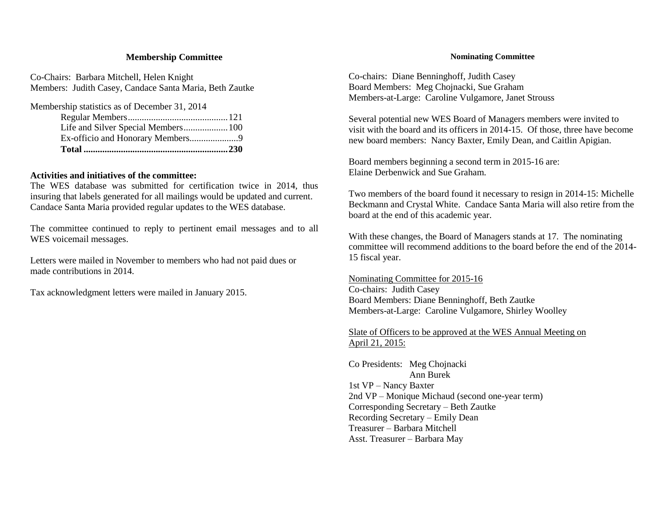### **Membership Committee**

Co-Chairs: Barbara Mitchell, Helen Knight Members: Judith Casey, Candace Santa Maria, Beth Zautke

Membership statistics as of December 31, 2014 Regular Members...........................................121 Life and Silver Special Members...................100 Ex-officio and Honorary Members.....................9 **Total ..............................................................230**

### **Activities and initiatives of the committee:**

The WES database was submitted for certification twice in 2014, thus insuring that labels generated for all mailings would be updated and current. Candace Santa Maria provided regular updates to the WES database.

The committee continued to reply to pertinent email messages and to all WES voicemail messages.

Letters were mailed in November to members who had not paid dues or made contributions in 2014.

Tax acknowledgment letters were mailed in January 2015.

#### **Nominating Committee**

Co-chairs: Diane Benninghoff, Judith Casey Board Members: Meg Chojnacki, Sue Graham Members-at-Large: Caroline Vulgamore, Janet Strouss

Several potential new WES Board of Managers members were invited to visit with the board and its officers in 2014-15. Of those, three have become new board members: Nancy Baxter, Emily Dean, and Caitlin Apigian.

Board members beginning a second term in 2015-16 are: Elaine Derbenwick and Sue Graham.

Two members of the board found it necessary to resign in 2014-15: Michelle Beckmann and Crystal White. Candace Santa Maria will also retire from the board at the end of this academic year.

With these changes, the Board of Managers stands at 17. The nominating committee will recommend additions to the board before the end of the 2014- 15 fiscal year.

Nominating Committee for 2015-16 Co-chairs: Judith Casey Board Members: Diane Benninghoff, Beth Zautke Members-at-Large: Caroline Vulgamore, Shirley Woolley

# Slate of Officers to be approved at the WES Annual Meeting on April 21, 2015:

Co Presidents: Meg Chojnacki Ann Burek 1st VP – Nancy Baxter 2nd VP – Monique Michaud (second one-year term) Corresponding Secretary – Beth Zautke Recording Secretary – Emily Dean Treasurer – Barbara Mitchell Asst. Treasurer – Barbara May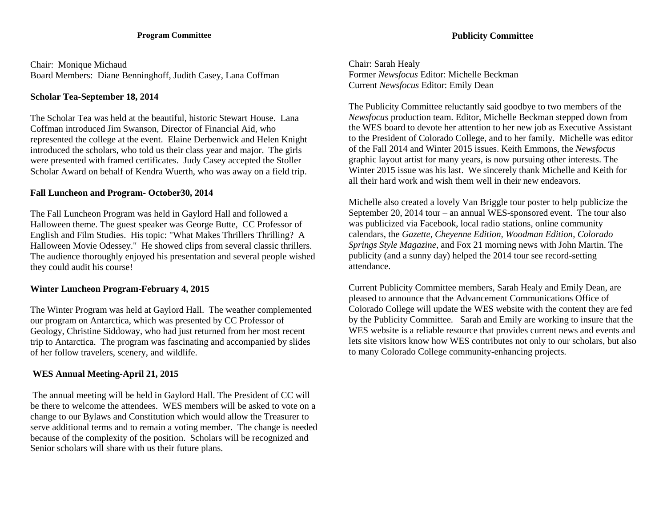#### **Program Committee**

Chair: Monique Michaud Board Members: Diane Benninghoff, Judith Casey, Lana Coffman

## **Scholar Tea-September 18, 2014**

The Scholar Tea was held at the beautiful, historic Stewart House. Lana Coffman introduced Jim Swanson, Director of Financial Aid, who represented the college at the event. Elaine Derbenwick and Helen Knight introduced the scholars, who told us their class year and major. The girls were presented with framed certificates. Judy Casey accepted the Stoller Scholar Award on behalf of Kendra Wuerth, who was away on a field trip.

## **Fall Luncheon and Program- October30, 2014**

The Fall Luncheon Program was held in Gaylord Hall and followed a Halloween theme. The guest speaker was George Butte, CC Professor of English and Film Studies. His topic: "What Makes Thrillers Thrilling? A Halloween Movie Odessey." He showed clips from several classic thrillers. The audience thoroughly enjoyed his presentation and several people wished they could audit his course!

## **Winter Luncheon Program-February 4, 2015**

The Winter Program was held at Gaylord Hall. The weather complemented our program on Antarctica, which was presented by CC Professor of Geology, Christine Siddoway, who had just returned from her most recent trip to Antarctica. The program was fascinating and accompanied by slides of her follow travelers, scenery, and wildlife.

## **WES Annual Meeting-April 21, 2015**

The annual meeting will be held in Gaylord Hall. The President of CC will be there to welcome the attendees. WES members will be asked to vote on a change to our Bylaws and Constitution which would allow the Treasurer to serve additional terms and to remain a voting member. The change is needed because of the complexity of the position. Scholars will be recognized and Senior scholars will share with us their future plans.

Chair: Sarah Healy Former *Newsfocus* Editor: Michelle Beckman Current *Newsfocus* Editor: Emily Dean

The Publicity Committee reluctantly said goodbye to two members of the *Newsfocus* production team. Editor, Michelle Beckman stepped down from the WES board to devote her attention to her new job as Executive Assistant to the President of Colorado College, and to her family. Michelle was editor of the Fall 2014 and Winter 2015 issues. Keith Emmons, the *Newsfocus* graphic layout artist for many years, is now pursuing other interests. The Winter 2015 issue was his last. We sincerely thank Michelle and Keith for all their hard work and wish them well in their new endeavors.

Michelle also created a lovely Van Briggle tour poster to help publicize the September 20, 2014 tour – an annual WES-sponsored event. The tour also was publicized via Facebook, local radio stations, online community calendars, the *Gazette, Cheyenne Edition, Woodman Edition*, *Colorado Springs Style Magazine*, and Fox 21 morning news with John Martin. The publicity (and a sunny day) helped the 2014 tour see record-setting attendance.

Current Publicity Committee members, Sarah Healy and Emily Dean, are pleased to announce that the Advancement Communications Office of Colorado College will update the WES website with the content they are fed by the Publicity Committee. Sarah and Emily are working to insure that the WES website is a reliable resource that provides current news and events and lets site visitors know how WES contributes not only to our scholars, but also to many Colorado College community-enhancing projects.